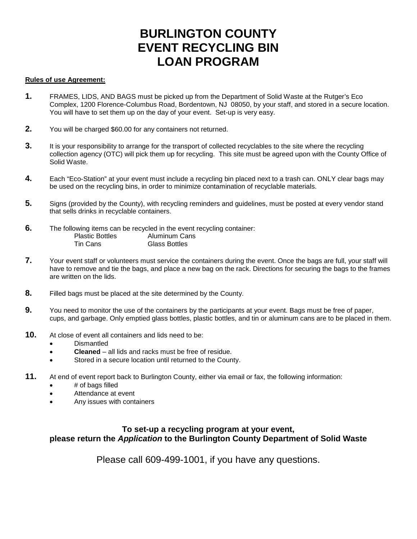# **BURLINGTON COUNTY EVENT RECYCLING BIN LOAN PROGRAM**

### **Rules of use Agreement:**

- **1.** FRAMES, LIDS, AND BAGS must be picked up from the Department of Solid Waste at the Rutger's Eco Complex, 1200 Florence-Columbus Road, Bordentown, NJ 08050, by your staff, and stored in a secure location. You will have to set them up on the day of your event. Set-up is very easy.
- **2.** You will be charged \$60.00 for any containers not returned.
- **3.** It is your responsibility to arrange for the transport of collected recyclables to the site where the recycling collection agency (OTC) will pick them up for recycling. This site must be agreed upon with the County Office of Solid Waste.
- **4.** Each "Eco-Station" at your event must include a recycling bin placed next to a trash can. ONLY clear bags may be used on the recycling bins, in order to minimize contamination of recyclable materials.
- **5.** Signs (provided by the County), with recycling reminders and guidelines, must be posted at every vendor stand that sells drinks in recyclable containers.
- **6.** The following items can be recycled in the event recycling container:<br>Plastic Bottles Aluminum Cans Aluminum Cans Tin Cans Glass Bottles
- **7.** Your event staff or volunteers must service the containers during the event. Once the bags are full, your staff will have to remove and tie the bags, and place a new bag on the rack. Directions for securing the bags to the frames are written on the lids.
- **8.** Filled bags must be placed at the site determined by the County.
- **9.** You need to monitor the use of the containers by the participants at your event. Bags must be free of paper, cups, and garbage. Only emptied glass bottles, plastic bottles, and tin or aluminum cans are to be placed in them.
- **10.** At close of event all containers and lids need to be:
	- Dismantled
	- **Cleaned** all lids and racks must be free of residue.
	- Stored in a secure location until returned to the County.
- **11.** At end of event report back to Burlington County, either via email or fax, the following information:
	- # of bags filled
	- Attendance at event
	- Any issues with containers

### **To set-up a recycling program at your event, please return the** *Application* **to the Burlington County Department of Solid Waste**

Please call 609-499-1001, if you have any questions.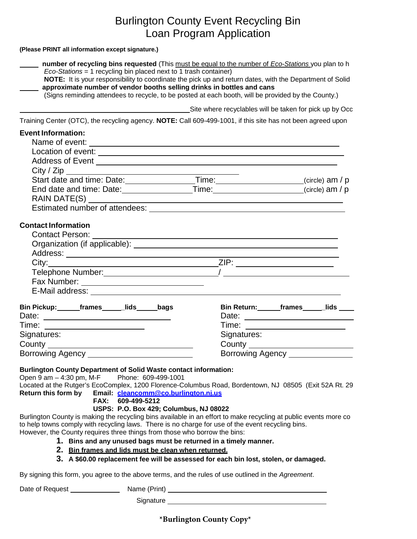## Burlington County Event Recycling Bin Loan Program Application

#### **(Please PRINT all information except signature.)**

| number of recycling bins requested (This must be equal to the number of Eco-Stations you plan to h                                                                                                                                                                                                                                                              |                                                         |                                                            |  |
|-----------------------------------------------------------------------------------------------------------------------------------------------------------------------------------------------------------------------------------------------------------------------------------------------------------------------------------------------------------------|---------------------------------------------------------|------------------------------------------------------------|--|
| $Eco-Stations = 1$ recycling bin placed next to 1 trash container)<br>NOTE: It is your responsibility to coordinate the pick up and return dates, with the Department of Solid<br>approximate number of vendor booths selling drinks in bottles and cans<br>(Signs reminding attendees to recycle, to be posted at each booth, will be provided by the County.) |                                                         |                                                            |  |
|                                                                                                                                                                                                                                                                                                                                                                 | Site where recyclables will be taken for pick up by Occ |                                                            |  |
| Training Center (OTC), the recycling agency. NOTE: Call 609-499-1001, if this site has not been agreed upon                                                                                                                                                                                                                                                     |                                                         |                                                            |  |
| <b>Event Information:</b>                                                                                                                                                                                                                                                                                                                                       |                                                         |                                                            |  |
|                                                                                                                                                                                                                                                                                                                                                                 |                                                         |                                                            |  |
|                                                                                                                                                                                                                                                                                                                                                                 |                                                         |                                                            |  |
|                                                                                                                                                                                                                                                                                                                                                                 |                                                         |                                                            |  |
|                                                                                                                                                                                                                                                                                                                                                                 |                                                         |                                                            |  |
|                                                                                                                                                                                                                                                                                                                                                                 |                                                         |                                                            |  |
| End date and time: Date: ___________________Time: _______________________(circle) am / p                                                                                                                                                                                                                                                                        |                                                         |                                                            |  |
|                                                                                                                                                                                                                                                                                                                                                                 |                                                         |                                                            |  |
|                                                                                                                                                                                                                                                                                                                                                                 |                                                         |                                                            |  |
|                                                                                                                                                                                                                                                                                                                                                                 |                                                         |                                                            |  |
| <b>Contact Information</b>                                                                                                                                                                                                                                                                                                                                      |                                                         |                                                            |  |
| <b>Contact Person:</b>                                                                                                                                                                                                                                                                                                                                          |                                                         |                                                            |  |
|                                                                                                                                                                                                                                                                                                                                                                 |                                                         |                                                            |  |
|                                                                                                                                                                                                                                                                                                                                                                 |                                                         | <u> 1980 - Johann Barn, amerikansk politiker (d. 1980)</u> |  |
|                                                                                                                                                                                                                                                                                                                                                                 |                                                         |                                                            |  |
|                                                                                                                                                                                                                                                                                                                                                                 |                                                         |                                                            |  |
|                                                                                                                                                                                                                                                                                                                                                                 |                                                         |                                                            |  |
|                                                                                                                                                                                                                                                                                                                                                                 |                                                         |                                                            |  |
| Bin Pickup: frames _____lids _____bags                                                                                                                                                                                                                                                                                                                          |                                                         | Bin Return: _______frames _______lids _____                |  |
|                                                                                                                                                                                                                                                                                                                                                                 |                                                         |                                                            |  |
| Time: ________________________                                                                                                                                                                                                                                                                                                                                  |                                                         |                                                            |  |
| Signatures:                                                                                                                                                                                                                                                                                                                                                     | Signatures:                                             |                                                            |  |
|                                                                                                                                                                                                                                                                                                                                                                 |                                                         | <b>County County County County County</b>                  |  |
|                                                                                                                                                                                                                                                                                                                                                                 |                                                         | Borrowing Agency _________                                 |  |
| <b>Burlington County Department of Solid Waste contact information:</b>                                                                                                                                                                                                                                                                                         |                                                         |                                                            |  |
| Open $9$ am $-$ 4:30 pm, M-F<br>Phone: 609-499-1001                                                                                                                                                                                                                                                                                                             |                                                         |                                                            |  |
| Located at the Rutger's EcoComplex, 1200 Florence-Columbus Road, Bordentown, NJ 08505 (Exit 52A Rt. 29                                                                                                                                                                                                                                                          |                                                         |                                                            |  |
| Return this form by<br>Email: cleancomm@co.burlington.ni.us                                                                                                                                                                                                                                                                                                     |                                                         |                                                            |  |
| FAX: 609-499-5212                                                                                                                                                                                                                                                                                                                                               |                                                         |                                                            |  |
| USPS: P.O. Box 429; Columbus, NJ 08022<br>Burlington County is making the recycling bins available in an effort to make recycling at public events more co                                                                                                                                                                                                      |                                                         |                                                            |  |
| to help towns comply with recycling laws. There is no charge for use of the event recycling bins.                                                                                                                                                                                                                                                               |                                                         |                                                            |  |
| However, the County requires three things from those who borrow the bins:                                                                                                                                                                                                                                                                                       |                                                         |                                                            |  |
| 1. Bins and any unused bags must be returned in a timely manner.                                                                                                                                                                                                                                                                                                |                                                         |                                                            |  |
| 2. Bin frames and lids must be clean when returned.                                                                                                                                                                                                                                                                                                             |                                                         |                                                            |  |
| 3. A \$60.00 replacement fee will be assessed for each bin lost, stolen, or damaged.                                                                                                                                                                                                                                                                            |                                                         |                                                            |  |

By signing this form, you agree to the above terms, and the rules of use outlined in the *Agreement*.

Date of Request Name (Print)

Signature

**\*Burlington County Copy\***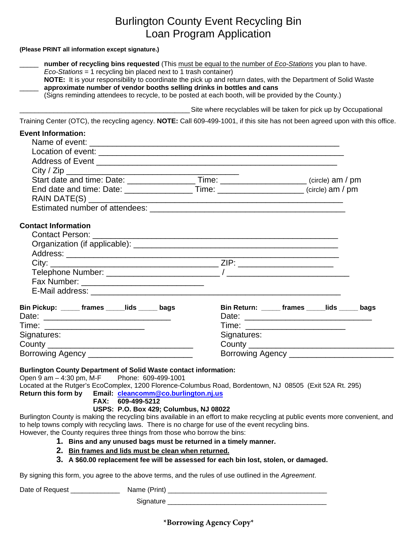# Burlington County Event Recycling Bin Loan Program Application

### **(Please PRINT all information except signature.)**

| number of recycling bins requested (This must be equal to the number of Eco-Stations you plan to have.                                                                                   |                               |                                                                  |
|------------------------------------------------------------------------------------------------------------------------------------------------------------------------------------------|-------------------------------|------------------------------------------------------------------|
| Eco-Stations = 1 recycling bin placed next to 1 trash container)                                                                                                                         |                               |                                                                  |
| NOTE: It is your responsibility to coordinate the pick up and return dates, with the Department of Solid Waste<br>approximate number of vendor booths selling drinks in bottles and cans |                               |                                                                  |
| (Signs reminding attendees to recycle, to be posted at each booth, will be provided by the County.)                                                                                      |                               |                                                                  |
|                                                                                                                                                                                          |                               | Site where recyclables will be taken for pick up by Occupational |
| Training Center (OTC), the recycling agency. NOTE: Call 609-499-1001, if this site has not been agreed upon with this office.                                                            |                               |                                                                  |
| <b>Event Information:</b>                                                                                                                                                                |                               |                                                                  |
|                                                                                                                                                                                          |                               |                                                                  |
|                                                                                                                                                                                          |                               |                                                                  |
|                                                                                                                                                                                          |                               |                                                                  |
|                                                                                                                                                                                          |                               |                                                                  |
| Start date and time: Date: _____________________Time: _______________________(circle) am / pm                                                                                            |                               |                                                                  |
| End date and time: Date: ____________________Time: ______________________(circle) am / pm                                                                                                |                               |                                                                  |
|                                                                                                                                                                                          |                               |                                                                  |
|                                                                                                                                                                                          |                               |                                                                  |
| <b>Contact Information</b>                                                                                                                                                               |                               |                                                                  |
|                                                                                                                                                                                          |                               |                                                                  |
|                                                                                                                                                                                          |                               |                                                                  |
|                                                                                                                                                                                          |                               |                                                                  |
|                                                                                                                                                                                          |                               |                                                                  |
|                                                                                                                                                                                          |                               |                                                                  |
|                                                                                                                                                                                          |                               |                                                                  |
|                                                                                                                                                                                          |                               |                                                                  |
| Bin Pickup: ______ frames _____lids _____ bags                                                                                                                                           |                               | Bin Return: ______ frames _____lids _____ bags                   |
|                                                                                                                                                                                          |                               |                                                                  |
| Time: ____________________________                                                                                                                                                       | Time: _______________________ |                                                                  |
| Signatures:                                                                                                                                                                              | Signatures:                   |                                                                  |
|                                                                                                                                                                                          |                               |                                                                  |
| Borrowing Agency _                                                                                                                                                                       | Borrowing Agency _______      |                                                                  |
| <b>Burlington County Department of Solid Waste contact information:</b>                                                                                                                  |                               |                                                                  |
| Open $9$ am $-$ 4:30 pm, M-F<br>Phone: 609-499-1001                                                                                                                                      |                               |                                                                  |
| Located at the Rutger's EcoComplex, 1200 Florence-Columbus Road, Bordentown, NJ 08505 (Exit 52A Rt. 295)                                                                                 |                               |                                                                  |
| Return this form by<br>Email: cleancomm@co.burlington.nj.us                                                                                                                              |                               |                                                                  |
| FAX: 609-499-5212                                                                                                                                                                        |                               |                                                                  |
| USPS: P.O. Box 429; Columbus, NJ 08022<br>Burlington County is making the recycling bins available in an effort to make recycling at public events more convenient, and                  |                               |                                                                  |
| to help towns comply with recycling laws. There is no charge for use of the event recycling bins.                                                                                        |                               |                                                                  |
| However, the County requires three things from those who borrow the bins:                                                                                                                |                               |                                                                  |
| 1. Bins and any unused bags must be returned in a timely manner.                                                                                                                         |                               |                                                                  |
| 2. Bin frames and lids must be clean when returned.                                                                                                                                      |                               |                                                                  |
| 3. A \$60.00 replacement fee will be assessed for each bin lost, stolen, or damaged.                                                                                                     |                               |                                                                  |
| By signing this form you agree to the above terms, and the rules of use outlined in the Agreement                                                                                        |                               |                                                                  |

By signing this form, you agree to the above terms, and the rules of use outlined in the *Agreement*.

Date of Request \_\_\_\_\_\_\_\_\_\_\_\_\_ Name (Print) \_\_\_\_\_\_\_\_\_\_\_\_\_\_\_\_\_\_\_\_\_\_\_\_\_\_\_\_\_\_\_\_\_\_\_\_\_\_\_\_\_\_

Signature \_\_\_\_\_\_\_\_\_\_\_\_\_\_\_\_\_\_\_\_\_\_\_\_\_\_\_\_\_\_\_\_\_\_\_\_\_\_\_\_\_\_

**\*Borrowing Agency Copy\***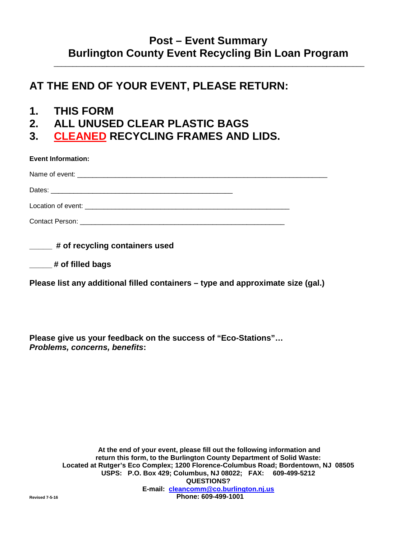### **Post – Event Summary Burlington County Event Recycling Bin Loan Program**

\_\_\_\_\_\_\_\_\_\_\_\_\_\_\_\_\_\_\_\_\_\_\_\_\_\_\_\_\_\_\_\_\_\_\_\_\_\_\_\_\_\_\_\_\_\_\_\_\_\_\_\_\_\_\_\_\_\_\_\_\_\_\_\_\_\_\_\_\_\_\_\_\_\_\_\_\_\_\_\_\_\_

## **AT THE END OF YOUR EVENT, PLEASE RETURN:**

- **1. THIS FORM**
- **2. ALL UNUSED CLEAR PLASTIC BAGS**
- **3. CLEANED RECYCLING FRAMES AND LIDS.**

| <b>Event Information:</b> |  |
|---------------------------|--|
|                           |  |
|                           |  |
|                           |  |
|                           |  |

**\_\_\_\_\_ # of recycling containers used** 

|  |  |  | # of filled bags |  |  |  |
|--|--|--|------------------|--|--|--|
|--|--|--|------------------|--|--|--|

**Please list any additional filled containers – type and approximate size (gal.)**

**Please give us your feedback on the success of "Eco-Stations"…**  *Problems, concerns, benefits***:**

**At the end of your event, please fill out the following information and return this form, to the Burlington County Department of Solid Waste: Located at Rutger's Eco Complex; 1200 Florence-Columbus Road; Bordentown, NJ 08505 USPS: P.O. Box 429; Columbus, NJ 08022; FAX: 609-499-5212 QUESTIONS? E-mail: [cleancomm@co.burlington.nj.us](mailto:cleancomm@co.burlington.nj.us)  Revised 7-5-16 Phone: 609-499-1001**